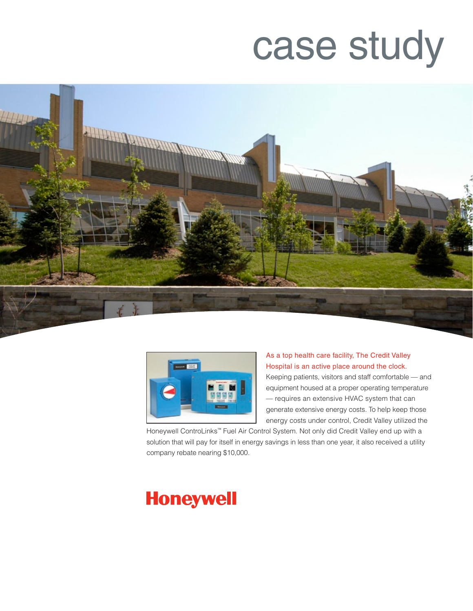# case study





As a top health care facility, The Credit Valley Hospital is an active place around the clock. Keeping patients, visitors and staff comfortable — and equipment housed at a proper operating temperature — requires an extensive HVAC system that can generate extensive energy costs. To help keep those energy costs under control, Credit Valley utilized the

Honeywell ControLinks™ Fuel Air Control System. Not only did Credit Valley end up with a solution that will pay for itself in energy savings in less than one year, it also received a utility company rebate nearing \$10,000.

# **Honeywell**